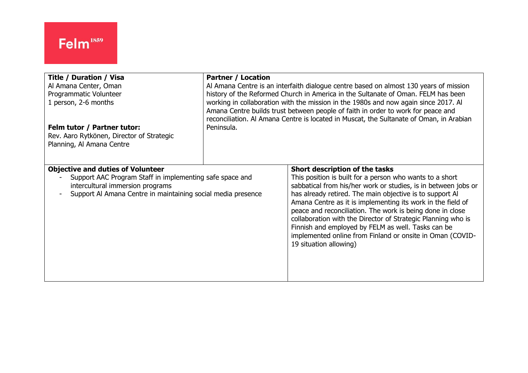| <b>Title / Duration / Visa</b>                                                                                                                                                                           | <b>Partner / Location</b>                                                               |                                                                                                                                                                                                                                                                                                                                                                                                                                                                                                                                                                   |
|----------------------------------------------------------------------------------------------------------------------------------------------------------------------------------------------------------|-----------------------------------------------------------------------------------------|-------------------------------------------------------------------------------------------------------------------------------------------------------------------------------------------------------------------------------------------------------------------------------------------------------------------------------------------------------------------------------------------------------------------------------------------------------------------------------------------------------------------------------------------------------------------|
| Al Amana Center, Oman                                                                                                                                                                                    | Al Amana Centre is an interfaith dialogue centre based on almost 130 years of mission   |                                                                                                                                                                                                                                                                                                                                                                                                                                                                                                                                                                   |
| Programmatic Volunteer                                                                                                                                                                                   | history of the Reformed Church in America in the Sultanate of Oman. FELM has been       |                                                                                                                                                                                                                                                                                                                                                                                                                                                                                                                                                                   |
| 1 person, 2-6 months                                                                                                                                                                                     | working in collaboration with the mission in the 1980s and now again since 2017. Al     |                                                                                                                                                                                                                                                                                                                                                                                                                                                                                                                                                                   |
| Felm tutor / Partner tutor:                                                                                                                                                                              | Amana Centre builds trust between people of faith in order to work for peace and        |                                                                                                                                                                                                                                                                                                                                                                                                                                                                                                                                                                   |
| Rev. Aaro Rytkönen, Director of Strategic                                                                                                                                                                | reconciliation. Al Amana Centre is located in Muscat, the Sultanate of Oman, in Arabian |                                                                                                                                                                                                                                                                                                                                                                                                                                                                                                                                                                   |
| Planning, Al Amana Centre                                                                                                                                                                                | Peninsula.                                                                              |                                                                                                                                                                                                                                                                                                                                                                                                                                                                                                                                                                   |
| <b>Objective and duties of Volunteer</b><br>Support AAC Program Staff in implementing safe space and<br>intercultural immersion programs<br>Support Al Amana Centre in maintaining social media presence |                                                                                         | Short description of the tasks<br>This position is built for a person who wants to a short<br>sabbatical from his/her work or studies, is in between jobs or<br>has already retired. The main objective is to support Al<br>Amana Centre as it is implementing its work in the field of<br>peace and reconciliation. The work is being done in close<br>collaboration with the Director of Strategic Planning who is<br>Finnish and employed by FELM as well. Tasks can be<br>implemented online from Finland or onsite in Oman (COVID-<br>19 situation allowing) |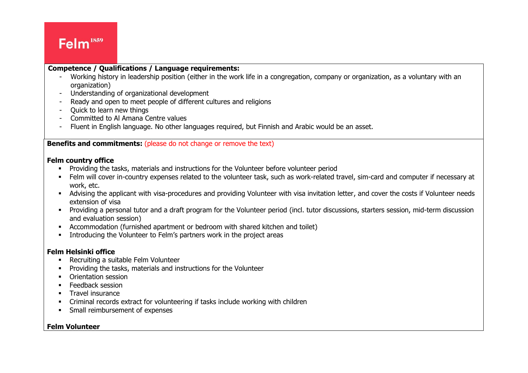# Felm<sup>1859</sup>

#### $\overline{\phantom{a}}$ **Competence / Qualifications / Language requirements:**

- Working history in leadership position (either in the work life in a congregation, company or organization, as a voluntary with an organization)
- Understanding of organizational development
- Ready and open to meet people of different cultures and religions
- Quick to learn new things
- Committed to Al Amana Centre values
- Fluent in English language. No other languages required, but Finnish and Arabic would be an asset.

### **Benefits and commitments:** (please do not change or remove the text)

#### **Felm country office**

- **•** Providing the tasks, materials and instructions for the Volunteer before volunteer period
- **EXPEDENT INTER 10 FERM** will cover in-country expenses related to the volunteer task, such as work-related travel, sim-card and computer if necessary at work, etc.
- Advising the applicant with visa-procedures and providing Volunteer with visa invitation letter, and cover the costs if Volunteer needs extension of visa
- Providing a personal tutor and a draft program for the Volunteer period (incl. tutor discussions, starters session, mid-term discussion and evaluation session)
- Accommodation (furnished apartment or bedroom with shared kitchen and toilet)
- Introducing the Volunteer to Felm's partners work in the project areas

### **Felm Helsinki office**

- Recruiting a suitable Felm Volunteer
- Providing the tasks, materials and instructions for the Volunteer
- Orientation session
- **Feedback session**
- **■** Travel insurance
- Criminal records extract for volunteering if tasks include working with children
- **•** Small reimbursement of expenses

#### **Felm Volunteer**